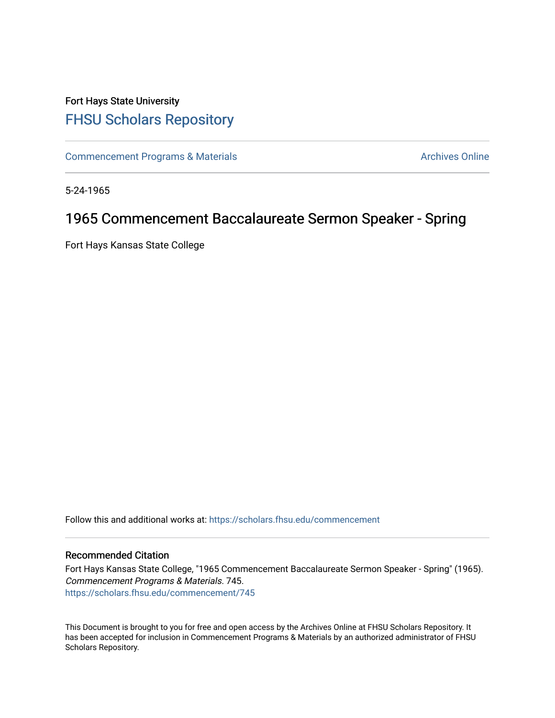## Fort Hays State University [FHSU Scholars Repository](https://scholars.fhsu.edu/)

[Commencement Programs & Materials](https://scholars.fhsu.edu/commencement) **Archives Online** Archives Online

5-24-1965

## 1965 Commencement Baccalaureate Sermon Speaker - Spring

Fort Hays Kansas State College

Follow this and additional works at: [https://scholars.fhsu.edu/commencement](https://scholars.fhsu.edu/commencement?utm_source=scholars.fhsu.edu%2Fcommencement%2F745&utm_medium=PDF&utm_campaign=PDFCoverPages)

## Recommended Citation

Fort Hays Kansas State College, "1965 Commencement Baccalaureate Sermon Speaker - Spring" (1965). Commencement Programs & Materials. 745. [https://scholars.fhsu.edu/commencement/745](https://scholars.fhsu.edu/commencement/745?utm_source=scholars.fhsu.edu%2Fcommencement%2F745&utm_medium=PDF&utm_campaign=PDFCoverPages)

This Document is brought to you for free and open access by the Archives Online at FHSU Scholars Repository. It has been accepted for inclusion in Commencement Programs & Materials by an authorized administrator of FHSU Scholars Repository.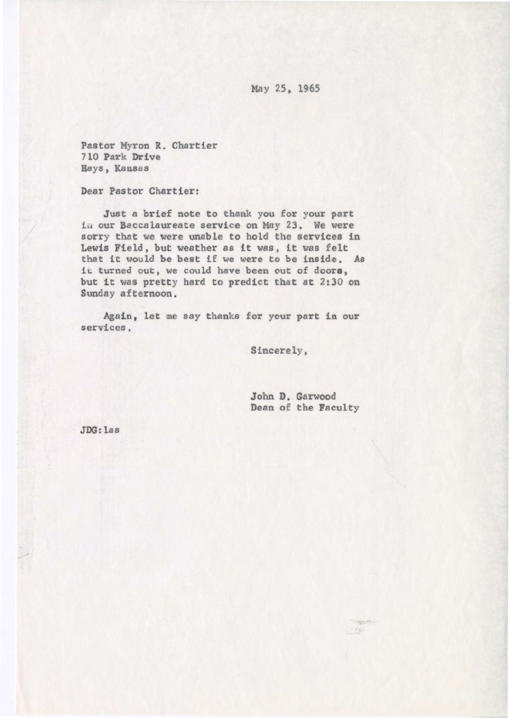May 25, 1965

Pastor Myron **R.** Chartier 710 Park Drive Hays, Kansas

Dear Pastor Chartier:

Just a brief note to thank you for your part in our Baccalaureate service on May 23. We were sorry that we were unable to hold the services in Lewis Field, but weather as it was, it was felt that it would be best if we were to be inside. As it turned out, we could have been out of **doore,**  but it was pretty hard to predict that at 2:30 on Sunday afternoon .

Again, let me say thanks for your part in our services.

Sincerely,

John D. Garwood Dean of the Faculty

**JDG:** las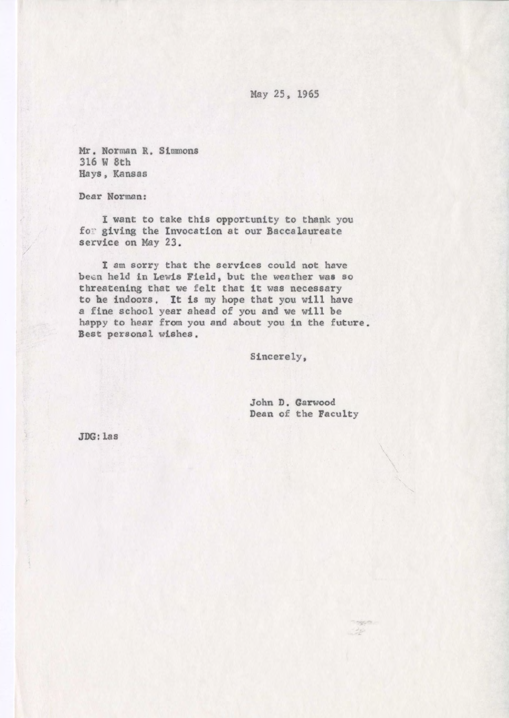May 25, 1965

Mr. Norman R. Simmons 316 W 8th Hays , Kansas

Dear Norman:

I want to take this opportunity to thank you for giving the Invocation at our Baccalaureate service on May 23 .

I am sorry that the services could not have been held in Lewis Field, but the weather was so threatening that we felt that it was necessary to he indoors. lt is my hope that you will have a fine school year ahead of you and we will be happy to hear from you and about you in the future. Best personal wishes.

Sincerely,

John D. Garwood Dean of the Faculty

120

**JDG:** las